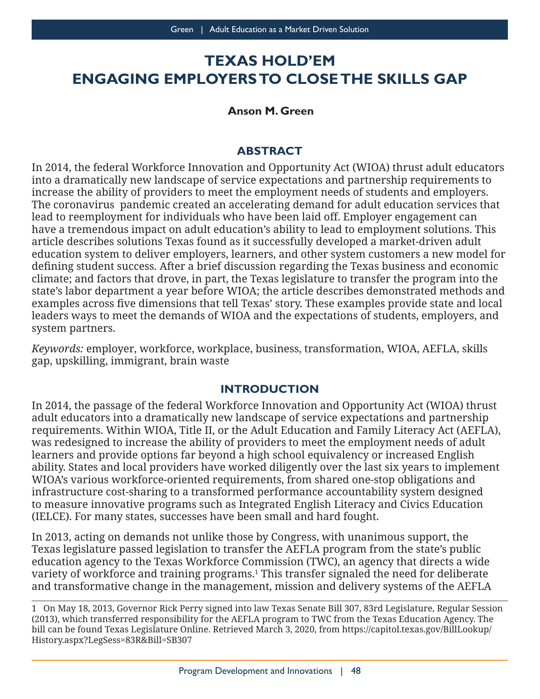# **TEXAS HOLD'EM ENGAGING EMPLOYERS TO CLOSE THE SKILLS GAP**

#### **Anson M. Green**

## **ABSTRACT**

In 2014, the federal Workforce Innovation and Opportunity Act (WIOA) thrust adult educators into a dramatically new landscape of service expectations and partnership requirements to increase the ability of providers to meet the employment needs of students and employers. The coronavirus pandemic created an accelerating demand for adult education services that lead to reemployment for individuals who have been laid off. Employer engagement can have a tremendous impact on adult education's ability to lead to employment solutions. This article describes solutions Texas found as it successfully developed a market-driven adult education system to deliver employers, learners, and other system customers a new model for defining student success. After a brief discussion regarding the Texas business and economic climate; and factors that drove, in part, the Texas legislature to transfer the program into the state's labor department a year before WIOA; the article describes demonstrated methods and examples across five dimensions that tell Texas' story. These examples provide state and local leaders ways to meet the demands of WIOA and the expectations of students, employers, and system partners.

*Keywords:* employer, workforce, workplace, business, transformation, WIOA, AEFLA, skills gap, upskilling, immigrant, brain waste

#### **INTRODUCTION**

In 2014, the passage of the federal Workforce Innovation and Opportunity Act (WIOA) thrust adult educators into a dramatically new landscape of service expectations and partnership requirements. Within WIOA, Title II, or the Adult Education and Family Literacy Act (AEFLA), was redesigned to increase the ability of providers to meet the employment needs of adult learners and provide options far beyond a high school equivalency or increased English ability. States and local providers have worked diligently over the last six years to implement WIOA's various workforce-oriented requirements, from shared one-stop obligations and infrastructure cost-sharing to a transformed performance accountability system designed to measure innovative programs such as Integrated English Literacy and Civics Education (IELCE). For many states, successes have been small and hard fought.

In 2013, acting on demands not unlike those by Congress, with unanimous support, the Texas legislature passed legislation to transfer the AEFLA program from the state's public education agency to the Texas Workforce Commission (TWC), an agency that directs a wide variety of workforce and training programs.1 This transfer signaled the need for deliberate and transformative change in the management, mission and delivery systems of the AEFLA

<sup>1</sup> On May 18, 2013, Governor Rick Perry signed into law Texas Senate Bill 307, 83rd Legislature, Regular Session (2013), which transferred responsibility for the AEFLA program to TWC from the Texas Education Agency. The bill can be found Texas Legislature Online. Retrieved March 3, 2020, from https://capitol.texas.gov/BillLookup/ History.aspx?LegSess=83R&Bill=SB307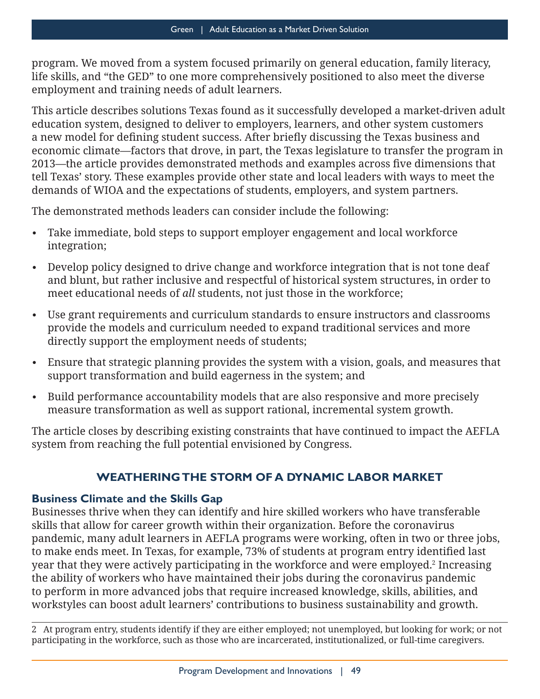program. We moved from a system focused primarily on general education, family literacy, life skills, and "the GED" to one more comprehensively positioned to also meet the diverse employment and training needs of adult learners.

This article describes solutions Texas found as it successfully developed a market-driven adult education system, designed to deliver to employers, learners, and other system customers a new model for defining student success. After briefly discussing the Texas business and economic climate—factors that drove, in part, the Texas legislature to transfer the program in 2013—the article provides demonstrated methods and examples across five dimensions that tell Texas' story. These examples provide other state and local leaders with ways to meet the demands of WIOA and the expectations of students, employers, and system partners.

The demonstrated methods leaders can consider include the following:

- Take immediate, bold steps to support employer engagement and local workforce integration;
- Develop policy designed to drive change and workforce integration that is not tone deaf and blunt, but rather inclusive and respectful of historical system structures, in order to meet educational needs of *all* students, not just those in the workforce;
- Use grant requirements and curriculum standards to ensure instructors and classrooms provide the models and curriculum needed to expand traditional services and more directly support the employment needs of students;
- Ensure that strategic planning provides the system with a vision, goals, and measures that support transformation and build eagerness in the system; and
- Build performance accountability models that are also responsive and more precisely measure transformation as well as support rational, incremental system growth.

The article closes by describing existing constraints that have continued to impact the AEFLA system from reaching the full potential envisioned by Congress.

# **WEATHERING THE STORM OF A DYNAMIC LABOR MARKET**

# **Business Climate and the Skills Gap**

Businesses thrive when they can identify and hire skilled workers who have transferable skills that allow for career growth within their organization. Before the coronavirus pandemic, many adult learners in AEFLA programs were working, often in two or three jobs, to make ends meet. In Texas, for example, 73% of students at program entry identified last year that they were actively participating in the workforce and were employed.<sup>2</sup> Increasing the ability of workers who have maintained their jobs during the coronavirus pandemic to perform in more advanced jobs that require increased knowledge, skills, abilities, and workstyles can boost adult learners' contributions to business sustainability and growth.

2 At program entry, students identify if they are either employed; not unemployed, but looking for work; or not participating in the workforce, such as those who are incarcerated, institutionalized, or full-time caregivers.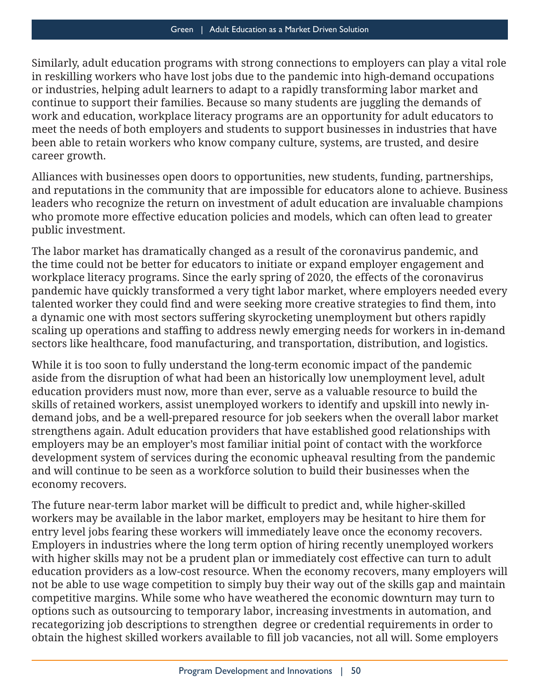Similarly, adult education programs with strong connections to employers can play a vital role in reskilling workers who have lost jobs due to the pandemic into high-demand occupations or industries, helping adult learners to adapt to a rapidly transforming labor market and continue to support their families. Because so many students are juggling the demands of work and education, workplace literacy programs are an opportunity for adult educators to meet the needs of both employers and students to support businesses in industries that have been able to retain workers who know company culture, systems, are trusted, and desire career growth.

Alliances with businesses open doors to opportunities, new students, funding, partnerships, and reputations in the community that are impossible for educators alone to achieve. Business leaders who recognize the return on investment of adult education are invaluable champions who promote more effective education policies and models, which can often lead to greater public investment.

The labor market has dramatically changed as a result of the coronavirus pandemic, and the time could not be better for educators to initiate or expand employer engagement and workplace literacy programs. Since the early spring of 2020, the effects of the coronavirus pandemic have quickly transformed a very tight labor market, where employers needed every talented worker they could find and were seeking more creative strategies to find them, into a dynamic one with most sectors suffering skyrocketing unemployment but others rapidly scaling up operations and staffing to address newly emerging needs for workers in in-demand sectors like healthcare, food manufacturing, and transportation, distribution, and logistics.

While it is too soon to fully understand the long-term economic impact of the pandemic aside from the disruption of what had been an historically low unemployment level, adult education providers must now, more than ever, serve as a valuable resource to build the skills of retained workers, assist unemployed workers to identify and upskill into newly indemand jobs, and be a well-prepared resource for job seekers when the overall labor market strengthens again. Adult education providers that have established good relationships with employers may be an employer's most familiar initial point of contact with the workforce development system of services during the economic upheaval resulting from the pandemic and will continue to be seen as a workforce solution to build their businesses when the economy recovers.

The future near-term labor market will be difficult to predict and, while higher-skilled workers may be available in the labor market, employers may be hesitant to hire them for entry level jobs fearing these workers will immediately leave once the economy recovers. Employers in industries where the long term option of hiring recently unemployed workers with higher skills may not be a prudent plan or immediately cost effective can turn to adult education providers as a low-cost resource. When the economy recovers, many employers will not be able to use wage competition to simply buy their way out of the skills gap and maintain competitive margins. While some who have weathered the economic downturn may turn to options such as outsourcing to temporary labor, increasing investments in automation, and recategorizing job descriptions to strengthen degree or credential requirements in order to obtain the highest skilled workers available to fill job vacancies, not all will. Some employers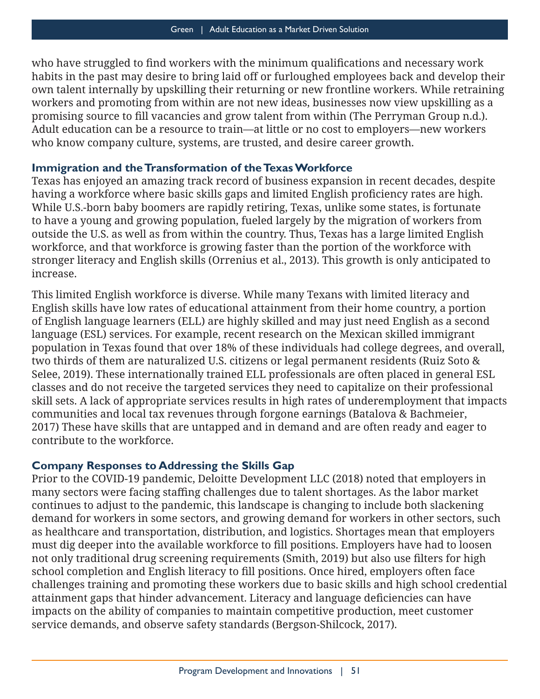who have struggled to find workers with the minimum qualifications and necessary work habits in the past may desire to bring laid off or furloughed employees back and develop their own talent internally by upskilling their returning or new frontline workers. While retraining workers and promoting from within are not new ideas, businesses now view upskilling as a promising source to fill vacancies and grow talent from within (The Perryman Group n.d.). Adult education can be a resource to train—at little or no cost to employers—new workers who know company culture, systems, are trusted, and desire career growth.

#### **Immigration and the Transformation of the Texas Workforce**

Texas has enjoyed an amazing track record of business expansion in recent decades, despite having a workforce where basic skills gaps and limited English proficiency rates are high. While U.S.-born baby boomers are rapidly retiring, Texas, unlike some states, is fortunate to have a young and growing population, fueled largely by the migration of workers from outside the U.S. as well as from within the country. Thus, Texas has a large limited English workforce, and that workforce is growing faster than the portion of the workforce with stronger literacy and English skills (Orrenius et al., 2013). This growth is only anticipated to increase.

This limited English workforce is diverse. While many Texans with limited literacy and English skills have low rates of educational attainment from their home country, a portion of English language learners (ELL) are highly skilled and may just need English as a second language (ESL) services. For example, recent research on the Mexican skilled immigrant population in Texas found that over 18% of these individuals had college degrees, and overall, two thirds of them are naturalized U.S. citizens or legal permanent residents (Ruiz Soto & Selee, 2019). These internationally trained ELL professionals are often placed in general ESL classes and do not receive the targeted services they need to capitalize on their professional skill sets. A lack of appropriate services results in high rates of underemployment that impacts communities and local tax revenues through forgone earnings (Batalova & Bachmeier, 2017) These have skills that are untapped and in demand and are often ready and eager to contribute to the workforce.

# **Company Responses to Addressing the Skills Gap**

Prior to the COVID-19 pandemic, Deloitte Development LLC (2018) noted that employers in many sectors were facing staffing challenges due to talent shortages. As the labor market continues to adjust to the pandemic, this landscape is changing to include both slackening demand for workers in some sectors, and growing demand for workers in other sectors, such as healthcare and transportation, distribution, and logistics. Shortages mean that employers must dig deeper into the available workforce to fill positions. Employers have had to loosen not only traditional drug screening requirements (Smith, 2019) but also use filters for high school completion and English literacy to fill positions. Once hired, employers often face challenges training and promoting these workers due to basic skills and high school credential attainment gaps that hinder advancement. Literacy and language deficiencies can have impacts on the ability of companies to maintain competitive production, meet customer service demands, and observe safety standards (Bergson-Shilcock, 2017).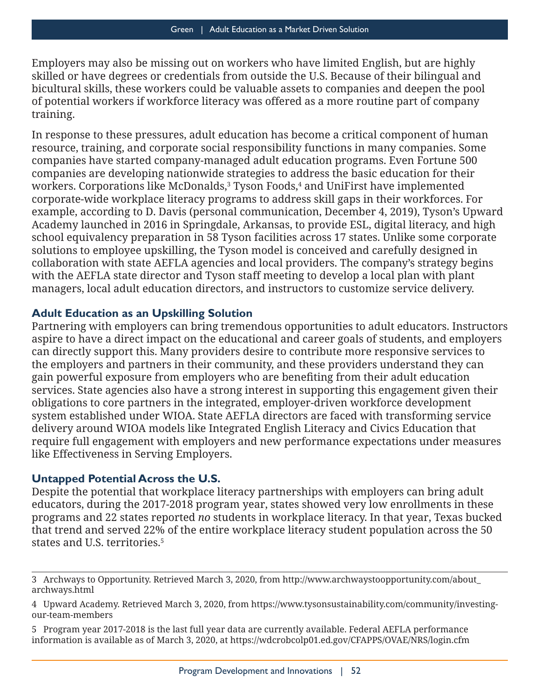Employers may also be missing out on workers who have limited English, but are highly skilled or have degrees or credentials from outside the U.S. Because of their bilingual and bicultural skills, these workers could be valuable assets to companies and deepen the pool of potential workers if workforce literacy was offered as a more routine part of company training.

In response to these pressures, adult education has become a critical component of human resource, training, and corporate social responsibility functions in many companies. Some companies have started company-managed adult education programs. Even Fortune 500 companies are developing nationwide strategies to address the basic education for their workers. Corporations like McDonalds,3 Tyson Foods,4 and UniFirst have implemented corporate-wide workplace literacy programs to address skill gaps in their workforces. For example, according to D. Davis (personal communication, December 4, 2019), Tyson's Upward Academy launched in 2016 in Springdale, Arkansas, to provide ESL, digital literacy, and high school equivalency preparation in 58 Tyson facilities across 17 states. Unlike some corporate solutions to employee upskilling, the Tyson model is conceived and carefully designed in collaboration with state AEFLA agencies and local providers. The company's strategy begins with the AEFLA state director and Tyson staff meeting to develop a local plan with plant managers, local adult education directors, and instructors to customize service delivery.

## **Adult Education as an Upskilling Solution**

Partnering with employers can bring tremendous opportunities to adult educators. Instructors aspire to have a direct impact on the educational and career goals of students, and employers can directly support this. Many providers desire to contribute more responsive services to the employers and partners in their community, and these providers understand they can gain powerful exposure from employers who are benefiting from their adult education services. State agencies also have a strong interest in supporting this engagement given their obligations to core partners in the integrated, employer-driven workforce development system established under WIOA. State AEFLA directors are faced with transforming service delivery around WIOA models like Integrated English Literacy and Civics Education that require full engagement with employers and new performance expectations under measures like Effectiveness in Serving Employers.

#### **Untapped Potential Across the U.S.**

Despite the potential that workplace literacy partnerships with employers can bring adult educators, during the 2017-2018 program year, states showed very low enrollments in these programs and 22 states reported *no* students in workplace literacy. In that year, Texas bucked that trend and served 22% of the entire workplace literacy student population across the 50 states and U.S. territories.5

<sup>3</sup> Archways to Opportunity. Retrieved March 3, 2020, from http://www.archwaystoopportunity.com/about\_ archways.html

<sup>4</sup> Upward Academy. Retrieved March 3, 2020, from https://www.tysonsustainability.com/community/investingour-team-members

<sup>5</sup> Program year 2017-2018 is the last full year data are currently available. Federal AEFLA performance information is available as of March 3, 2020, at https://wdcrobcolp01.ed.gov/CFAPPS/OVAE/NRS/login.cfm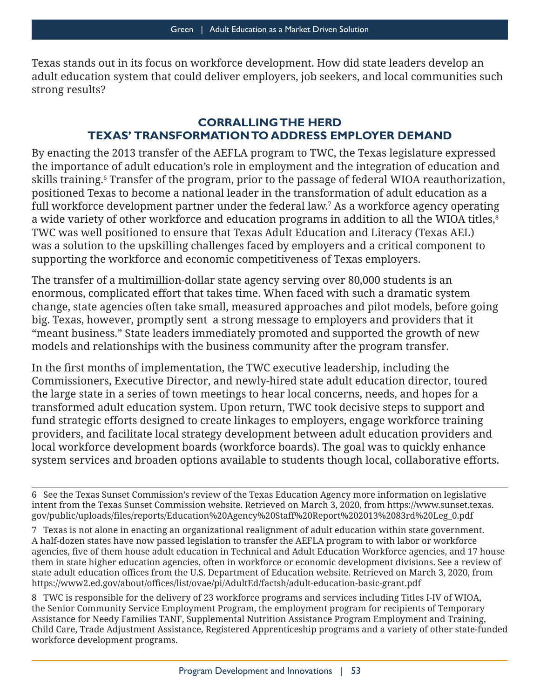Texas stands out in its focus on workforce development. How did state leaders develop an adult education system that could deliver employers, job seekers, and local communities such strong results?

# **CORRALLING THE HERD TEXAS' TRANSFORMATION TO ADDRESS EMPLOYER DEMAND**

By enacting the 2013 transfer of the AEFLA program to TWC, the Texas legislature expressed the importance of adult education's role in employment and the integration of education and skills training.<sup>6</sup> Transfer of the program, prior to the passage of federal WIOA reauthorization, positioned Texas to become a national leader in the transformation of adult education as a full workforce development partner under the federal law.7 As a workforce agency operating a wide variety of other workforce and education programs in addition to all the WIOA titles,<sup>8</sup> TWC was well positioned to ensure that Texas Adult Education and Literacy (Texas AEL) was a solution to the upskilling challenges faced by employers and a critical component to supporting the workforce and economic competitiveness of Texas employers.

The transfer of a multimillion-dollar state agency serving over 80,000 students is an enormous, complicated effort that takes time. When faced with such a dramatic system change, state agencies often take small, measured approaches and pilot models, before going big. Texas, however, promptly sent a strong message to employers and providers that it "meant business." State leaders immediately promoted and supported the growth of new models and relationships with the business community after the program transfer.

In the first months of implementation, the TWC executive leadership, including the Commissioners, Executive Director, and newly-hired state adult education director, toured the large state in a series of town meetings to hear local concerns, needs, and hopes for a transformed adult education system. Upon return, TWC took decisive steps to support and fund strategic efforts designed to create linkages to employers, engage workforce training providers, and facilitate local strategy development between adult education providers and local workforce development boards (workforce boards). The goal was to quickly enhance system services and broaden options available to students though local, collaborative efforts.

8 TWC is responsible for the delivery of 23 workforce programs and services including Titles I-IV of WIOA, the Senior Community Service Employment Program, the employment program for recipients of Temporary Assistance for Needy Families TANF, Supplemental Nutrition Assistance Program Employment and Training, Child Care, Trade Adjustment Assistance, Registered Apprenticeship programs and a variety of other state-funded workforce development programs.

<sup>6</sup> See the Texas Sunset Commission's review of the Texas Education Agency more information on legislative intent from the Texas Sunset Commission website. Retrieved on March 3, 2020, from https://www.sunset.texas. gov/public/uploads/files/reports/Education%20Agency%20Staff%20Report%202013%2083rd%20Leg\_0.pdf

<sup>7</sup> Texas is not alone in enacting an organizational realignment of adult education within state government. A half-dozen states have now passed legislation to transfer the AEFLA program to with labor or workforce agencies, five of them house adult education in Technical and Adult Education Workforce agencies, and 17 house them in state higher education agencies, often in workforce or economic development divisions. See a review of state adult education offices from the U.S. Department of Education website. Retrieved on March 3, 2020, from https://www2.ed.gov/about/offices/list/ovae/pi/AdultEd/factsh/adult-education-basic-grant.pdf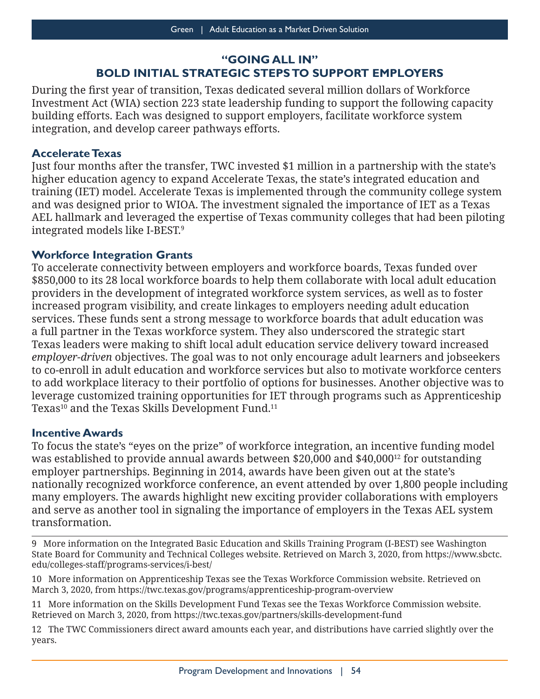## **"GOING ALL IN" BOLD INITIAL STRATEGIC STEPS TO SUPPORT EMPLOYERS**

During the first year of transition, Texas dedicated several million dollars of Workforce Investment Act (WIA) section 223 state leadership funding to support the following capacity building efforts. Each was designed to support employers, facilitate workforce system integration, and develop career pathways efforts.

#### **Accelerate Texas**

Just four months after the transfer, TWC invested \$1 million in a partnership with the state's higher education agency to expand Accelerate Texas, the state's integrated education and training (IET) model. Accelerate Texas is implemented through the community college system and was designed prior to WIOA. The investment signaled the importance of IET as a Texas AEL hallmark and leveraged the expertise of Texas community colleges that had been piloting integrated models like I-BEST.9

## **Workforce Integration Grants**

To accelerate connectivity between employers and workforce boards, Texas funded over \$850,000 to its 28 local workforce boards to help them collaborate with local adult education providers in the development of integrated workforce system services, as well as to foster increased program visibility, and create linkages to employers needing adult education services. These funds sent a strong message to workforce boards that adult education was a full partner in the Texas workforce system. They also underscored the strategic start Texas leaders were making to shift local adult education service delivery toward increased *employer-driven* objectives. The goal was to not only encourage adult learners and jobseekers to co-enroll in adult education and workforce services but also to motivate workforce centers to add workplace literacy to their portfolio of options for businesses. Another objective was to leverage customized training opportunities for IET through programs such as Apprenticeship Texas<sup>10</sup> and the Texas Skills Development Fund.<sup>11</sup>

#### **Incentive Awards**

To focus the state's "eyes on the prize" of workforce integration, an incentive funding model was established to provide annual awards between \$20,000 and \$40,00012 for outstanding employer partnerships. Beginning in 2014, awards have been given out at the state's nationally recognized workforce conference, an event attended by over 1,800 people including many employers. The awards highlight new exciting provider collaborations with employers and serve as another tool in signaling the importance of employers in the Texas AEL system transformation.

9 More information on the Integrated Basic Education and Skills Training Program (I-BEST) see Washington State Board for Community and Technical Colleges website. Retrieved on March 3, 2020, from https://www.sbctc. edu/colleges-staff/programs-services/i-best/

10 More information on Apprenticeship Texas see the Texas Workforce Commission website. Retrieved on March 3, 2020, from https://twc.texas.gov/programs/apprenticeship-program-overview

11 More information on the Skills Development Fund Texas see the Texas Workforce Commission website. Retrieved on March 3, 2020, from https://twc.texas.gov/partners/skills-development-fund

12 The TWC Commissioners direct award amounts each year, and distributions have carried slightly over the years.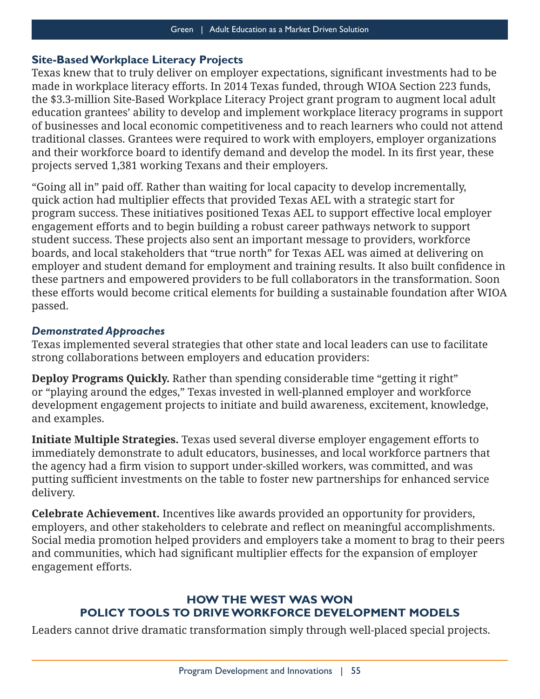#### **Site-Based Workplace Literacy Projects**

Texas knew that to truly deliver on employer expectations, significant investments had to be made in workplace literacy efforts. In 2014 Texas funded, through WIOA Section 223 funds, the \$3.3-million Site-Based Workplace Literacy Project grant program to augment local adult education grantees' ability to develop and implement workplace literacy programs in support of businesses and local economic competitiveness and to reach learners who could not attend traditional classes. Grantees were required to work with employers, employer organizations and their workforce board to identify demand and develop the model. In its first year, these projects served 1,381 working Texans and their employers.

"Going all in" paid off. Rather than waiting for local capacity to develop incrementally, quick action had multiplier effects that provided Texas AEL with a strategic start for program success. These initiatives positioned Texas AEL to support effective local employer engagement efforts and to begin building a robust career pathways network to support student success. These projects also sent an important message to providers, workforce boards, and local stakeholders that "true north" for Texas AEL was aimed at delivering on employer and student demand for employment and training results. It also built confidence in these partners and empowered providers to be full collaborators in the transformation. Soon these efforts would become critical elements for building a sustainable foundation after WIOA passed.

# *Demonstrated Approaches*

Texas implemented several strategies that other state and local leaders can use to facilitate strong collaborations between employers and education providers:

**Deploy Programs Quickly.** Rather than spending considerable time "getting it right" or "playing around the edges," Texas invested in well-planned employer and workforce development engagement projects to initiate and build awareness, excitement, knowledge, and examples.

**Initiate Multiple Strategies.** Texas used several diverse employer engagement efforts to immediately demonstrate to adult educators, businesses, and local workforce partners that the agency had a firm vision to support under-skilled workers, was committed, and was putting sufficient investments on the table to foster new partnerships for enhanced service delivery.

**Celebrate Achievement.** Incentives like awards provided an opportunity for providers, employers, and other stakeholders to celebrate and reflect on meaningful accomplishments. Social media promotion helped providers and employers take a moment to brag to their peers and communities, which had significant multiplier effects for the expansion of employer engagement efforts.

# **HOW THE WEST WAS WON POLICY TOOLS TO DRIVE WORKFORCE DEVELOPMENT MODELS**

Leaders cannot drive dramatic transformation simply through well-placed special projects.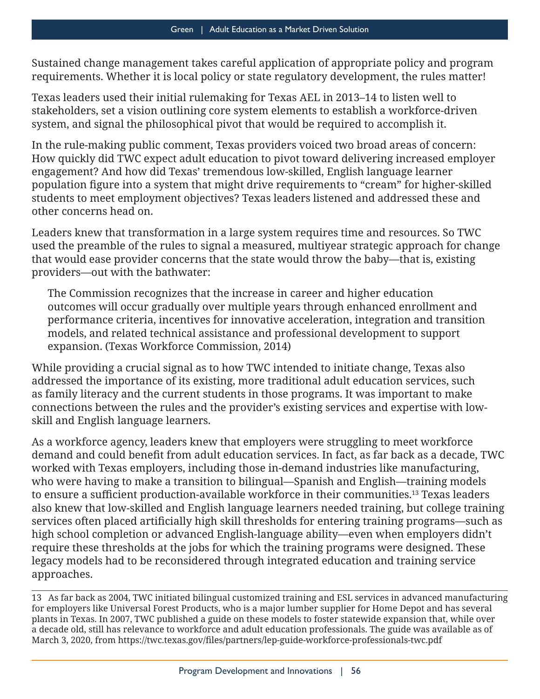Sustained change management takes careful application of appropriate policy and program requirements. Whether it is local policy or state regulatory development, the rules matter!

Texas leaders used their initial rulemaking for Texas AEL in 2013–14 to listen well to stakeholders, set a vision outlining core system elements to establish a workforce-driven system, and signal the philosophical pivot that would be required to accomplish it.

In the rule-making public comment, Texas providers voiced two broad areas of concern: How quickly did TWC expect adult education to pivot toward delivering increased employer engagement? And how did Texas' tremendous low-skilled, English language learner population figure into a system that might drive requirements to "cream" for higher-skilled students to meet employment objectives? Texas leaders listened and addressed these and other concerns head on.

Leaders knew that transformation in a large system requires time and resources. So TWC used the preamble of the rules to signal a measured, multiyear strategic approach for change that would ease provider concerns that the state would throw the baby—that is, existing providers—out with the bathwater:

The Commission recognizes that the increase in career and higher education outcomes will occur gradually over multiple years through enhanced enrollment and performance criteria, incentives for innovative acceleration, integration and transition models, and related technical assistance and professional development to support expansion. (Texas Workforce Commission, 2014)

While providing a crucial signal as to how TWC intended to initiate change, Texas also addressed the importance of its existing, more traditional adult education services, such as family literacy and the current students in those programs. It was important to make connections between the rules and the provider's existing services and expertise with lowskill and English language learners.

As a workforce agency, leaders knew that employers were struggling to meet workforce demand and could benefit from adult education services. In fact, as far back as a decade, TWC worked with Texas employers, including those in-demand industries like manufacturing, who were having to make a transition to bilingual—Spanish and English—training models to ensure a sufficient production-available workforce in their communities.13 Texas leaders also knew that low-skilled and English language learners needed training, but college training services often placed artificially high skill thresholds for entering training programs—such as high school completion or advanced English-language ability—even when employers didn't require these thresholds at the jobs for which the training programs were designed. These legacy models had to be reconsidered through integrated education and training service approaches.

13 As far back as 2004, TWC initiated bilingual customized training and ESL services in advanced manufacturing for employers like Universal Forest Products, who is a major lumber supplier for Home Depot and has several plants in Texas. In 2007, TWC published a guide on these models to foster statewide expansion that, while over a decade old, still has relevance to workforce and adult education professionals. The guide was available as of March 3, 2020, from https://twc.texas.gov/files/partners/lep-guide-workforce-professionals-twc.pdf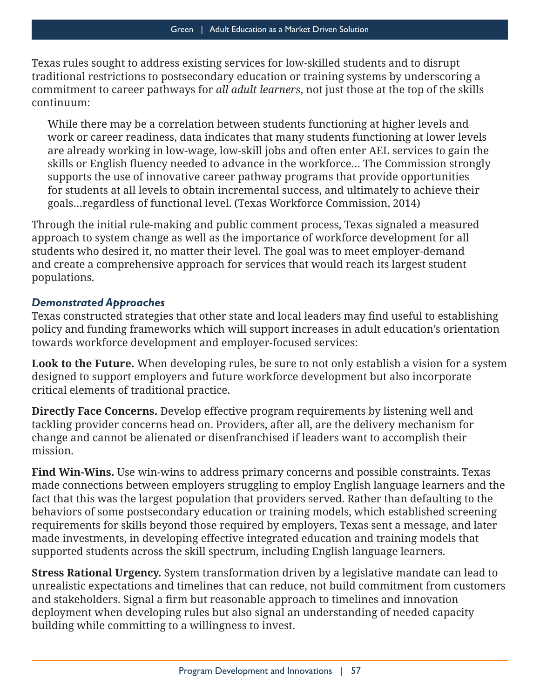Texas rules sought to address existing services for low-skilled students and to disrupt traditional restrictions to postsecondary education or training systems by underscoring a commitment to career pathways for *all adult learners*, not just those at the top of the skills continuum:

While there may be a correlation between students functioning at higher levels and work or career readiness, data indicates that many students functioning at lower levels are already working in low-wage, low-skill jobs and often enter AEL services to gain the skills or English fluency needed to advance in the workforce… The Commission strongly supports the use of innovative career pathway programs that provide opportunities for students at all levels to obtain incremental success, and ultimately to achieve their goals…regardless of functional level. (Texas Workforce Commission, 2014)

Through the initial rule-making and public comment process, Texas signaled a measured approach to system change as well as the importance of workforce development for all students who desired it, no matter their level. The goal was to meet employer-demand and create a comprehensive approach for services that would reach its largest student populations.

#### *Demonstrated Approaches*

Texas constructed strategies that other state and local leaders may find useful to establishing policy and funding frameworks which will support increases in adult education's orientation towards workforce development and employer-focused services:

**Look to the Future.** When developing rules, be sure to not only establish a vision for a system designed to support employers and future workforce development but also incorporate critical elements of traditional practice.

**Directly Face Concerns.** Develop effective program requirements by listening well and tackling provider concerns head on. Providers, after all, are the delivery mechanism for change and cannot be alienated or disenfranchised if leaders want to accomplish their mission.

**Find Win-Wins.** Use win-wins to address primary concerns and possible constraints. Texas made connections between employers struggling to employ English language learners and the fact that this was the largest population that providers served. Rather than defaulting to the behaviors of some postsecondary education or training models, which established screening requirements for skills beyond those required by employers, Texas sent a message, and later made investments, in developing effective integrated education and training models that supported students across the skill spectrum, including English language learners.

**Stress Rational Urgency.** System transformation driven by a legislative mandate can lead to unrealistic expectations and timelines that can reduce, not build commitment from customers and stakeholders. Signal a firm but reasonable approach to timelines and innovation deployment when developing rules but also signal an understanding of needed capacity building while committing to a willingness to invest.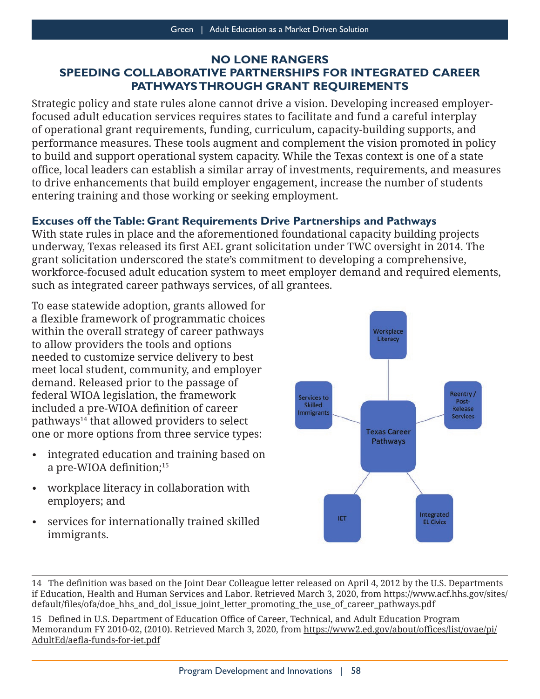# **NO LONE RANGERS SPEEDING COLLABORATIVE PARTNERSHIPS FOR INTEGRATED CAREER PATHWAYS THROUGH GRANT REQUIREMENTS**

Strategic policy and state rules alone cannot drive a vision. Developing increased employerfocused adult education services requires states to facilitate and fund a careful interplay of operational grant requirements, funding, curriculum, capacity-building supports, and performance measures. These tools augment and complement the vision promoted in policy to build and support operational system capacity. While the Texas context is one of a state office, local leaders can establish a similar array of investments, requirements, and measures to drive enhancements that build employer engagement, increase the number of students entering training and those working or seeking employment.

# **Excuses off the Table: Grant Requirements Drive Partnerships and Pathways**

With state rules in place and the aforementioned foundational capacity building projects underway, Texas released its first AEL grant solicitation under TWC oversight in 2014. The grant solicitation underscored the state's commitment to developing a comprehensive, workforce-focused adult education system to meet employer demand and required elements, such as integrated career pathways services, of all grantees.

To ease statewide adoption, grants allowed for a flexible framework of programmatic choices within the overall strategy of career pathways to allow providers the tools and options needed to customize service delivery to best meet local student, community, and employer demand. Released prior to the passage of federal WIOA legislation, the framework included a pre-WIOA definition of career pathways14 that allowed providers to select one or more options from three service types:

- integrated education and training based on a pre-WIOA definition;<sup>15</sup>
- workplace literacy in collaboration with employers; and
- services for internationally trained skilled immigrants.



<sup>14</sup> The definition was based on the Joint Dear Colleague letter released on April 4, 2012 by the U.S. Departments if Education, Health and Human Services and Labor. Retrieved March 3, 2020, from https://www.acf.hhs.gov/sites/ default/files/ofa/doe\_hhs\_and\_dol\_issue\_joint\_letter\_promoting\_the\_use\_of\_career\_pathways.pdf

15 Defined in U.S. Department of Education Office of Career, Technical, and Adult Education Program Memorandum FY 2010-02, (2010). Retrieved March 3, 2020, from https://www2.ed.gov/about/offices/list/ovae/pi/ AdultEd/aefla-funds-for-iet.pdf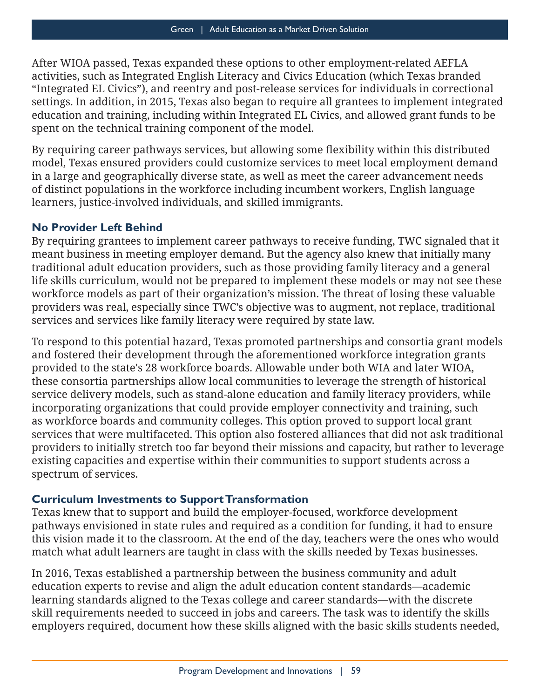After WIOA passed, Texas expanded these options to other employment-related AEFLA activities, such as Integrated English Literacy and Civics Education (which Texas branded "Integrated EL Civics"), and reentry and post-release services for individuals in correctional settings. In addition, in 2015, Texas also began to require all grantees to implement integrated education and training, including within Integrated EL Civics, and allowed grant funds to be spent on the technical training component of the model.

By requiring career pathways services, but allowing some flexibility within this distributed model, Texas ensured providers could customize services to meet local employment demand in a large and geographically diverse state, as well as meet the career advancement needs of distinct populations in the workforce including incumbent workers, English language learners, justice-involved individuals, and skilled immigrants.

# **No Provider Left Behind**

By requiring grantees to implement career pathways to receive funding, TWC signaled that it meant business in meeting employer demand. But the agency also knew that initially many traditional adult education providers, such as those providing family literacy and a general life skills curriculum, would not be prepared to implement these models or may not see these workforce models as part of their organization's mission. The threat of losing these valuable providers was real, especially since TWC's objective was to augment, not replace, traditional services and services like family literacy were required by state law.

To respond to this potential hazard, Texas promoted partnerships and consortia grant models and fostered their development through the aforementioned workforce integration grants provided to the state's 28 workforce boards. Allowable under both WIA and later WIOA, these consortia partnerships allow local communities to leverage the strength of historical service delivery models, such as stand-alone education and family literacy providers, while incorporating organizations that could provide employer connectivity and training, such as workforce boards and community colleges. This option proved to support local grant services that were multifaceted. This option also fostered alliances that did not ask traditional providers to initially stretch too far beyond their missions and capacity, but rather to leverage existing capacities and expertise within their communities to support students across a spectrum of services.

#### **Curriculum Investments to Support Transformation**

Texas knew that to support and build the employer-focused, workforce development pathways envisioned in state rules and required as a condition for funding, it had to ensure this vision made it to the classroom. At the end of the day, teachers were the ones who would match what adult learners are taught in class with the skills needed by Texas businesses.

In 2016, Texas established a partnership between the business community and adult education experts to revise and align the adult education content standards—academic learning standards aligned to the Texas college and career standards—with the discrete skill requirements needed to succeed in jobs and careers. The task was to identify the skills employers required, document how these skills aligned with the basic skills students needed,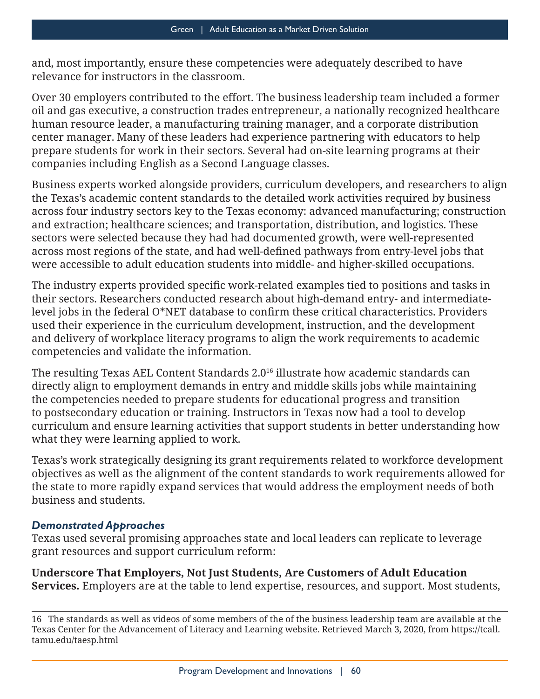and, most importantly, ensure these competencies were adequately described to have relevance for instructors in the classroom.

Over 30 employers contributed to the effort. The business leadership team included a former oil and gas executive, a construction trades entrepreneur, a nationally recognized healthcare human resource leader, a manufacturing training manager, and a corporate distribution center manager. Many of these leaders had experience partnering with educators to help prepare students for work in their sectors. Several had on-site learning programs at their companies including English as a Second Language classes.

Business experts worked alongside providers, curriculum developers, and researchers to align the Texas's academic content standards to the detailed work activities required by business across four industry sectors key to the Texas economy: advanced manufacturing; construction and extraction; healthcare sciences; and transportation, distribution, and logistics. These sectors were selected because they had had documented growth, were well-represented across most regions of the state, and had well-defined pathways from entry-level jobs that were accessible to adult education students into middle- and higher-skilled occupations.

The industry experts provided specific work-related examples tied to positions and tasks in their sectors. Researchers conducted research about high-demand entry- and intermediatelevel jobs in the federal O\*NET database to confirm these critical characteristics. Providers used their experience in the curriculum development, instruction, and the development and delivery of workplace literacy programs to align the work requirements to academic competencies and validate the information.

The resulting Texas AEL Content Standards 2.016 illustrate how academic standards can directly align to employment demands in entry and middle skills jobs while maintaining the competencies needed to prepare students for educational progress and transition to postsecondary education or training. Instructors in Texas now had a tool to develop curriculum and ensure learning activities that support students in better understanding how what they were learning applied to work.

Texas's work strategically designing its grant requirements related to workforce development objectives as well as the alignment of the content standards to work requirements allowed for the state to more rapidly expand services that would address the employment needs of both business and students.

# *Demonstrated Approaches*

Texas used several promising approaches state and local leaders can replicate to leverage grant resources and support curriculum reform:

**Underscore That Employers, Not Just Students, Are Customers of Adult Education Services.** Employers are at the table to lend expertise, resources, and support. Most students,

16 The standards as well as videos of some members of the of the business leadership team are available at the Texas Center for the Advancement of Literacy and Learning website. Retrieved March 3, 2020, from https://tcall. tamu.edu/taesp.html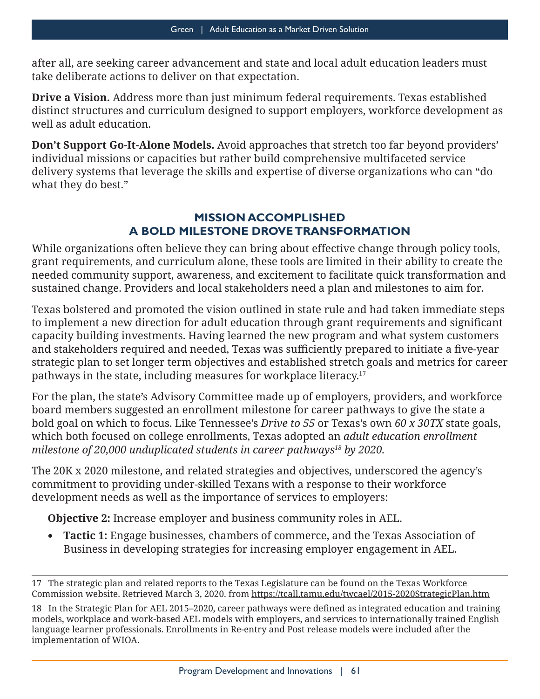after all, are seeking career advancement and state and local adult education leaders must take deliberate actions to deliver on that expectation.

**Drive a Vision.** Address more than just minimum federal requirements. Texas established distinct structures and curriculum designed to support employers, workforce development as well as adult education.

**Don't Support Go-It-Alone Models.** Avoid approaches that stretch too far beyond providers' individual missions or capacities but rather build comprehensive multifaceted service delivery systems that leverage the skills and expertise of diverse organizations who can "do what they do best."

# **MISSION ACCOMPLISHED A BOLD MILESTONE DROVE TRANSFORMATION**

While organizations often believe they can bring about effective change through policy tools, grant requirements, and curriculum alone, these tools are limited in their ability to create the needed community support, awareness, and excitement to facilitate quick transformation and sustained change. Providers and local stakeholders need a plan and milestones to aim for.

Texas bolstered and promoted the vision outlined in state rule and had taken immediate steps to implement a new direction for adult education through grant requirements and significant capacity building investments. Having learned the new program and what system customers and stakeholders required and needed, Texas was sufficiently prepared to initiate a five-year strategic plan to set longer term objectives and established stretch goals and metrics for career pathways in the state, including measures for workplace literacy.17

For the plan, the state's Advisory Committee made up of employers, providers, and workforce board members suggested an enrollment milestone for career pathways to give the state a bold goal on which to focus. Like Tennessee's *Drive to 55* or Texas's own *60 x 30TX* state goals, which both focused on college enrollments, Texas adopted an *adult education enrollment milestone of 20,000 unduplicated students in career pathways18 by 2020.*

The 20K x 2020 milestone, and related strategies and objectives, underscored the agency's commitment to providing under-skilled Texans with a response to their workforce development needs as well as the importance of services to employers:

**Objective 2:** Increase employer and business community roles in AEL.

**• Tactic 1:** Engage businesses, chambers of commerce, and the Texas Association of Business in developing strategies for increasing employer engagement in AEL.

<sup>17</sup> The strategic plan and related reports to the Texas Legislature can be found on the Texas Workforce Commission website. Retrieved March 3, 2020. from https://tcall.tamu.edu/twcael/2015-2020StrategicPlan.htm

<sup>18</sup> In the Strategic Plan for AEL 2015–2020, career pathways were defined as integrated education and training models, workplace and work-based AEL models with employers, and services to internationally trained English language learner professionals. Enrollments in Re-entry and Post release models were included after the implementation of WIOA.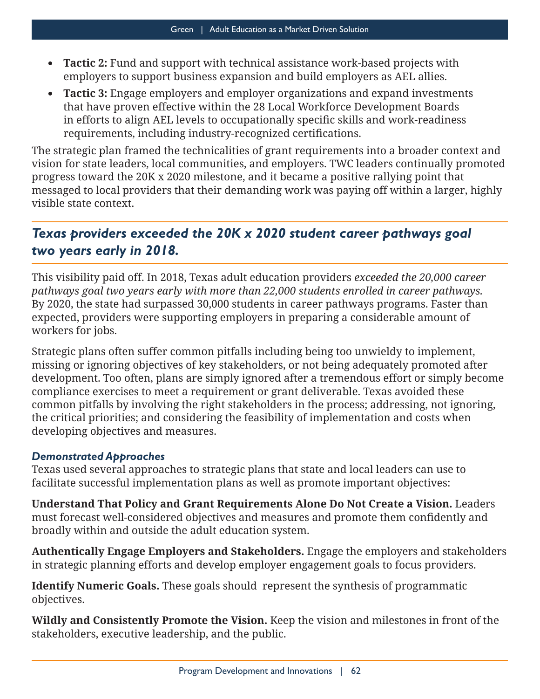- **• Tactic 2:** Fund and support with technical assistance work-based projects with employers to support business expansion and build employers as AEL allies.
- **• Tactic 3:** Engage employers and employer organizations and expand investments that have proven effective within the 28 Local Workforce Development Boards in efforts to align AEL levels to occupationally specific skills and work-readiness requirements, including industry-recognized certifications.

The strategic plan framed the technicalities of grant requirements into a broader context and vision for state leaders, local communities, and employers. TWC leaders continually promoted progress toward the 20K x 2020 milestone, and it became a positive rallying point that messaged to local providers that their demanding work was paying off within a larger, highly visible state context.

# *Texas providers exceeded the 20K x 2020 student career pathways goal two years early in 2018.*

This visibility paid off. In 2018, Texas adult education providers *exceeded the 20,000 career pathways goal two years early with more than 22,000 students enrolled in career pathways.* By 2020, the state had surpassed 30,000 students in career pathways programs. Faster than expected, providers were supporting employers in preparing a considerable amount of workers for jobs.

Strategic plans often suffer common pitfalls including being too unwieldy to implement, missing or ignoring objectives of key stakeholders, or not being adequately promoted after development. Too often, plans are simply ignored after a tremendous effort or simply become compliance exercises to meet a requirement or grant deliverable. Texas avoided these common pitfalls by involving the right stakeholders in the process; addressing, not ignoring, the critical priorities; and considering the feasibility of implementation and costs when developing objectives and measures.

# *Demonstrated Approaches*

Texas used several approaches to strategic plans that state and local leaders can use to facilitate successful implementation plans as well as promote important objectives:

**Understand That Policy and Grant Requirements Alone Do Not Create a Vision.** Leaders must forecast well-considered objectives and measures and promote them confidently and broadly within and outside the adult education system.

**Authentically Engage Employers and Stakeholders.** Engage the employers and stakeholders in strategic planning efforts and develop employer engagement goals to focus providers.

**Identify Numeric Goals.** These goals should represent the synthesis of programmatic objectives.

**Wildly and Consistently Promote the Vision.** Keep the vision and milestones in front of the stakeholders, executive leadership, and the public.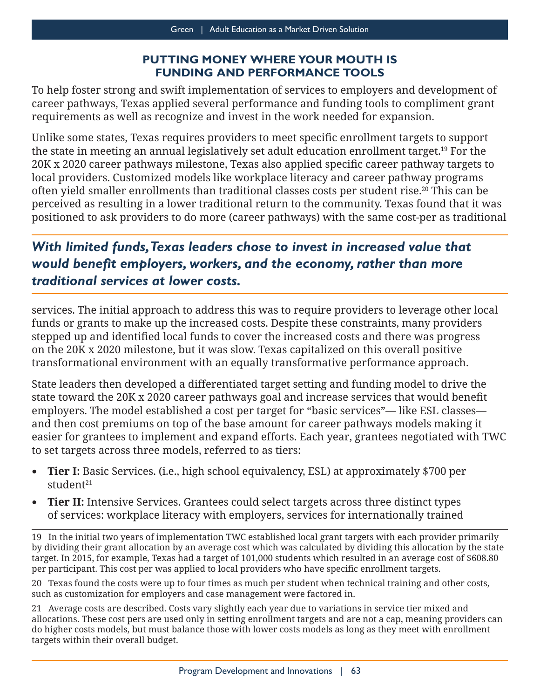# **PUTTING MONEY WHERE YOUR MOUTH IS FUNDING AND PERFORMANCE TOOLS**

To help foster strong and swift implementation of services to employers and development of career pathways, Texas applied several performance and funding tools to compliment grant requirements as well as recognize and invest in the work needed for expansion.

Unlike some states, Texas requires providers to meet specific enrollment targets to support the state in meeting an annual legislatively set adult education enrollment target.19 For the 20K x 2020 career pathways milestone, Texas also applied specific career pathway targets to local providers. Customized models like workplace literacy and career pathway programs often yield smaller enrollments than traditional classes costs per student rise.<sup>20</sup> This can be perceived as resulting in a lower traditional return to the community. Texas found that it was positioned to ask providers to do more (career pathways) with the same cost-per as traditional

# *With limited funds, Texas leaders chose to invest in increased value that would benefit employers, workers, and the economy, rather than more traditional services at lower costs.*

services. The initial approach to address this was to require providers to leverage other local funds or grants to make up the increased costs. Despite these constraints, many providers stepped up and identified local funds to cover the increased costs and there was progress on the 20K x 2020 milestone, but it was slow. Texas capitalized on this overall positive transformational environment with an equally transformative performance approach.

State leaders then developed a differentiated target setting and funding model to drive the state toward the 20K x 2020 career pathways goal and increase services that would benefit employers. The model established a cost per target for "basic services"— like ESL classes and then cost premiums on top of the base amount for career pathways models making it easier for grantees to implement and expand efforts. Each year, grantees negotiated with TWC to set targets across three models, referred to as tiers:

- **• Tier I:** Basic Services. (i.e., high school equivalency, ESL) at approximately \$700 per student $21$
- **• Tier II:** Intensive Services. Grantees could select targets across three distinct types of services: workplace literacy with employers, services for internationally trained

19 In the initial two years of implementation TWC established local grant targets with each provider primarily by dividing their grant allocation by an average cost which was calculated by dividing this allocation by the state target. In 2015, for example, Texas had a target of 101,000 students which resulted in an average cost of \$608.80 per participant. This cost per was applied to local providers who have specific enrollment targets.

20 Texas found the costs were up to four times as much per student when technical training and other costs, such as customization for employers and case management were factored in.

21 Average costs are described. Costs vary slightly each year due to variations in service tier mixed and allocations. These cost pers are used only in setting enrollment targets and are not a cap, meaning providers can do higher costs models, but must balance those with lower costs models as long as they meet with enrollment targets within their overall budget.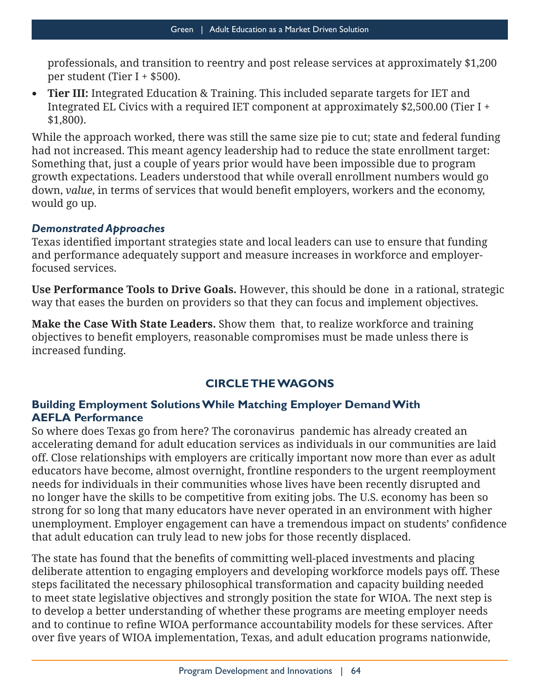professionals, and transition to reentry and post release services at approximately \$1,200 per student (Tier I +  $$500$ ).

**• Tier III:** Integrated Education & Training. This included separate targets for IET and Integrated EL Civics with a required IET component at approximately \$2,500.00 (Tier I + \$1,800).

While the approach worked, there was still the same size pie to cut; state and federal funding had not increased. This meant agency leadership had to reduce the state enrollment target: Something that, just a couple of years prior would have been impossible due to program growth expectations. Leaders understood that while overall enrollment numbers would go down, *value*, in terms of services that would benefit employers, workers and the economy, would go up.

## *Demonstrated Approaches*

Texas identified important strategies state and local leaders can use to ensure that funding and performance adequately support and measure increases in workforce and employerfocused services.

**Use Performance Tools to Drive Goals.** However, this should be done in a rational, strategic way that eases the burden on providers so that they can focus and implement objectives.

**Make the Case With State Leaders.** Show them that, to realize workforce and training objectives to benefit employers, reasonable compromises must be made unless there is increased funding.

# **CIRCLE THE WAGONS**

# **Building Employment Solutions While Matching Employer Demand With AEFLA Performance**

So where does Texas go from here? The coronavirus pandemic has already created an accelerating demand for adult education services as individuals in our communities are laid off. Close relationships with employers are critically important now more than ever as adult educators have become, almost overnight, frontline responders to the urgent reemployment needs for individuals in their communities whose lives have been recently disrupted and no longer have the skills to be competitive from exiting jobs. The U.S. economy has been so strong for so long that many educators have never operated in an environment with higher unemployment. Employer engagement can have a tremendous impact on students' confidence that adult education can truly lead to new jobs for those recently displaced.

The state has found that the benefits of committing well-placed investments and placing deliberate attention to engaging employers and developing workforce models pays off. These steps facilitated the necessary philosophical transformation and capacity building needed to meet state legislative objectives and strongly position the state for WIOA. The next step is to develop a better understanding of whether these programs are meeting employer needs and to continue to refine WIOA performance accountability models for these services. After over five years of WIOA implementation, Texas, and adult education programs nationwide,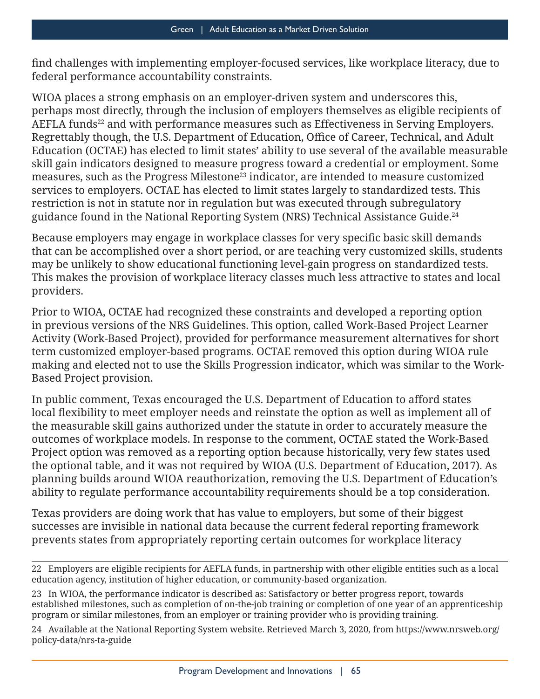find challenges with implementing employer-focused services, like workplace literacy, due to federal performance accountability constraints.

WIOA places a strong emphasis on an employer-driven system and underscores this, perhaps most directly, through the inclusion of employers themselves as eligible recipients of AEFLA funds<sup>22</sup> and with performance measures such as Effectiveness in Serving Employers. Regrettably though, the U.S. Department of Education, Office of Career, Technical, and Adult Education (OCTAE) has elected to limit states' ability to use several of the available measurable skill gain indicators designed to measure progress toward a credential or employment. Some measures, such as the Progress Milestone<sup>23</sup> indicator, are intended to measure customized services to employers. OCTAE has elected to limit states largely to standardized tests. This restriction is not in statute nor in regulation but was executed through subregulatory guidance found in the National Reporting System (NRS) Technical Assistance Guide.<sup>24</sup>

Because employers may engage in workplace classes for very specific basic skill demands that can be accomplished over a short period, or are teaching very customized skills, students may be unlikely to show educational functioning level-gain progress on standardized tests. This makes the provision of workplace literacy classes much less attractive to states and local providers.

Prior to WIOA, OCTAE had recognized these constraints and developed a reporting option in previous versions of the NRS Guidelines. This option, called Work-Based Project Learner Activity (Work-Based Project), provided for performance measurement alternatives for short term customized employer-based programs. OCTAE removed this option during WIOA rule making and elected not to use the Skills Progression indicator, which was similar to the Work-Based Project provision.

In public comment, Texas encouraged the U.S. Department of Education to afford states local flexibility to meet employer needs and reinstate the option as well as implement all of the measurable skill gains authorized under the statute in order to accurately measure the outcomes of workplace models. In response to the comment, OCTAE stated the Work-Based Project option was removed as a reporting option because historically, very few states used the optional table, and it was not required by WIOA (U.S. Department of Education, 2017). As planning builds around WIOA reauthorization, removing the U.S. Department of Education's ability to regulate performance accountability requirements should be a top consideration.

Texas providers are doing work that has value to employers, but some of their biggest successes are invisible in national data because the current federal reporting framework prevents states from appropriately reporting certain outcomes for workplace literacy

24 Available at the National Reporting System website. Retrieved March 3, 2020, from https://www.nrsweb.org/ policy-data/nrs-ta-guide

<sup>22</sup> Employers are eligible recipients for AEFLA funds, in partnership with other eligible entities such as a local education agency, institution of higher education, or community-based organization.

<sup>23</sup> In WIOA, the performance indicator is described as: Satisfactory or better progress report, towards established milestones, such as completion of on-the-job training or completion of one year of an apprenticeship program or similar milestones, from an employer or training provider who is providing training.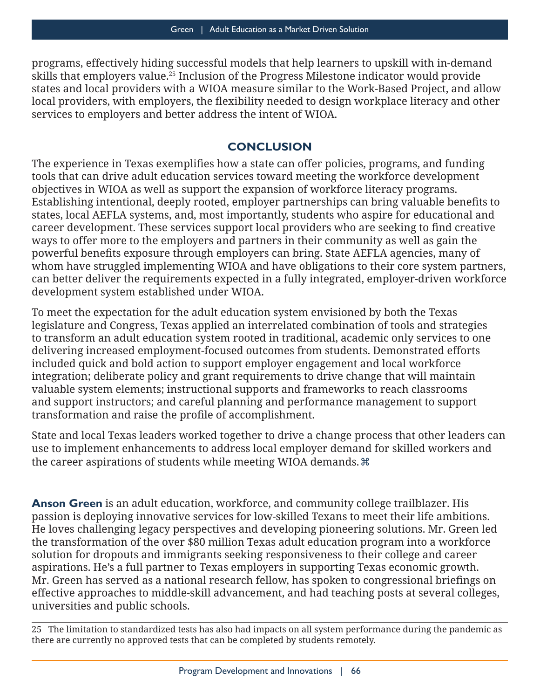programs, effectively hiding successful models that help learners to upskill with in-demand skills that employers value.<sup>25</sup> Inclusion of the Progress Milestone indicator would provide states and local providers with a WIOA measure similar to the Work-Based Project, and allow local providers, with employers, the flexibility needed to design workplace literacy and other services to employers and better address the intent of WIOA.

# **CONCLUSION**

The experience in Texas exemplifies how a state can offer policies, programs, and funding tools that can drive adult education services toward meeting the workforce development objectives in WIOA as well as support the expansion of workforce literacy programs. Establishing intentional, deeply rooted, employer partnerships can bring valuable benefits to states, local AEFLA systems, and, most importantly, students who aspire for educational and career development. These services support local providers who are seeking to find creative ways to offer more to the employers and partners in their community as well as gain the powerful benefits exposure through employers can bring. State AEFLA agencies, many of whom have struggled implementing WIOA and have obligations to their core system partners, can better deliver the requirements expected in a fully integrated, employer-driven workforce development system established under WIOA.

To meet the expectation for the adult education system envisioned by both the Texas legislature and Congress, Texas applied an interrelated combination of tools and strategies to transform an adult education system rooted in traditional, academic only services to one delivering increased employment-focused outcomes from students. Demonstrated efforts included quick and bold action to support employer engagement and local workforce integration; deliberate policy and grant requirements to drive change that will maintain valuable system elements; instructional supports and frameworks to reach classrooms and support instructors; and careful planning and performance management to support transformation and raise the profile of accomplishment.

State and local Texas leaders worked together to drive a change process that other leaders can use to implement enhancements to address local employer demand for skilled workers and the career aspirations of students while meeting WIOA demands.

**Anson Green** is an adult education, workforce, and community college trailblazer. His passion is deploying innovative services for low-skilled Texans to meet their life ambitions. He loves challenging legacy perspectives and developing pioneering solutions. Mr. Green led the transformation of the over \$80 million Texas adult education program into a workforce solution for dropouts and immigrants seeking responsiveness to their college and career aspirations. He's a full partner to Texas employers in supporting Texas economic growth. Mr. Green has served as a national research fellow, has spoken to congressional briefings on effective approaches to middle-skill advancement, and had teaching posts at several colleges, universities and public schools.

25 The limitation to standardized tests has also had impacts on all system performance during the pandemic as there are currently no approved tests that can be completed by students remotely.